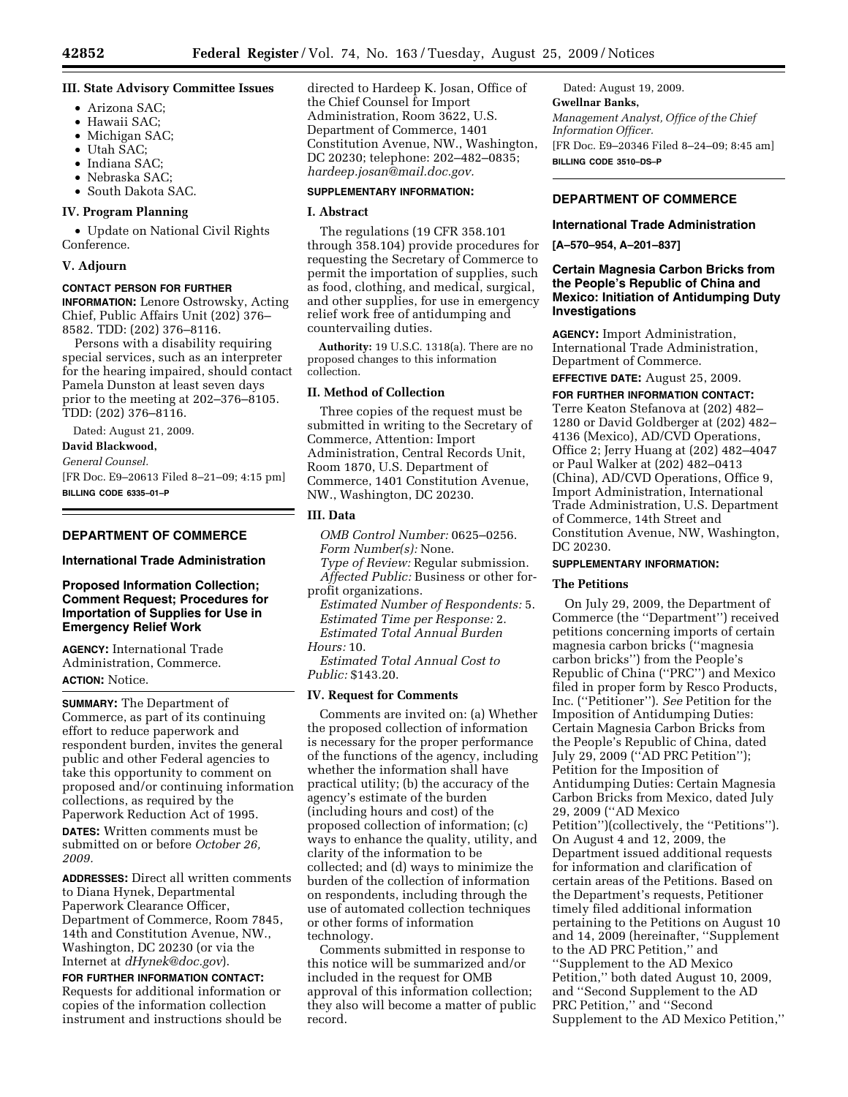## **III. State Advisory Committee Issues**

- Arizona SAC;
- Hawaii SAC;
- Michigan SAC;
- Utah SAC;
- Indiana SAC;
- Nebraska SAC;
- South Dakota SAC.

## **IV. Program Planning**

• Update on National Civil Rights Conference.

#### **V. Adjourn**

#### **CONTACT PERSON FOR FURTHER**

**INFORMATION:** Lenore Ostrowsky, Acting Chief, Public Affairs Unit (202) 376– 8582. TDD: (202) 376–8116.

Persons with a disability requiring special services, such as an interpreter for the hearing impaired, should contact Pamela Dunston at least seven days prior to the meeting at 202–376–8105. TDD: (202) 376–8116.

Dated: August 21, 2009.

## **David Blackwood,**

*General Counsel.* 

[FR Doc. E9–20613 Filed 8–21–09; 4:15 pm] **BILLING CODE 6335–01–P** 

#### **DEPARTMENT OF COMMERCE**

#### **International Trade Administration**

## **Proposed Information Collection; Comment Request; Procedures for Importation of Supplies for Use in Emergency Relief Work**

**AGENCY:** International Trade Administration, Commerce. **ACTION:** Notice.

**SUMMARY:** The Department of Commerce, as part of its continuing effort to reduce paperwork and respondent burden, invites the general public and other Federal agencies to take this opportunity to comment on proposed and/or continuing information collections, as required by the Paperwork Reduction Act of 1995.

**DATES:** Written comments must be submitted on or before *October 26, 2009.* 

**ADDRESSES:** Direct all written comments to Diana Hynek, Departmental Paperwork Clearance Officer, Department of Commerce, Room 7845, 14th and Constitution Avenue, NW., Washington, DC 20230 (or via the Internet at *dHynek@doc.gov*).

## **FOR FURTHER INFORMATION CONTACT:**

Requests for additional information or copies of the information collection instrument and instructions should be directed to Hardeep K. Josan, Office of the Chief Counsel for Import Administration, Room 3622, U.S. Department of Commerce, 1401 Constitution Avenue, NW., Washington, DC 20230; telephone: 202–482–0835; *hardeep.josan@mail.doc.gov.* 

## **SUPPLEMENTARY INFORMATION:**

#### **I. Abstract**

The regulations (19 CFR 358.101 through 358.104) provide procedures for requesting the Secretary of Commerce to permit the importation of supplies, such as food, clothing, and medical, surgical, and other supplies, for use in emergency relief work free of antidumping and countervailing duties.

**Authority:** 19 U.S.C. 1318(a). There are no proposed changes to this information collection.

## **II. Method of Collection**

Three copies of the request must be submitted in writing to the Secretary of Commerce, Attention: Import Administration, Central Records Unit, Room 1870, U.S. Department of Commerce, 1401 Constitution Avenue, NW., Washington, DC 20230.

## **III. Data**

*OMB Control Number:* 0625–0256. *Form Number(s):* None. *Type of Review:* Regular submission. *Affected Public:* Business or other forprofit organizations.

*Estimated Number of Respondents:* 5. *Estimated Time per Response:* 2. *Estimated Total Annual Burden Hours:* 10.

*Estimated Total Annual Cost to Public:* \$143.20.

#### **IV. Request for Comments**

Comments are invited on: (a) Whether the proposed collection of information is necessary for the proper performance of the functions of the agency, including whether the information shall have practical utility; (b) the accuracy of the agency's estimate of the burden (including hours and cost) of the proposed collection of information; (c) ways to enhance the quality, utility, and clarity of the information to be collected; and (d) ways to minimize the burden of the collection of information on respondents, including through the use of automated collection techniques or other forms of information technology.

Comments submitted in response to this notice will be summarized and/or included in the request for OMB approval of this information collection; they also will become a matter of public record.

Dated: August 19, 2009. **Gwellnar Banks,**  *Management Analyst, Office of the Chief Information Officer.*  [FR Doc. E9–20346 Filed 8–24–09; 8:45 am] **BILLING CODE 3510–DS–P** 

## **DEPARTMENT OF COMMERCE**

#### **International Trade Administration**

**[A–570–954, A–201–837]** 

## **Certain Magnesia Carbon Bricks from the People's Republic of China and Mexico: Initiation of Antidumping Duty Investigations**

**AGENCY:** Import Administration, International Trade Administration, Department of Commerce.

**EFFECTIVE DATE:** August 25, 2009.

**FOR FURTHER INFORMATION CONTACT:**  Terre Keaton Stefanova at (202) 482– 1280 or David Goldberger at (202) 482– 4136 (Mexico), AD/CVD Operations, Office 2; Jerry Huang at (202) 482–4047 or Paul Walker at (202) 482–0413 (China), AD/CVD Operations, Office 9, Import Administration, International Trade Administration, U.S. Department of Commerce, 14th Street and Constitution Avenue, NW, Washington, DC 20230.

## **SUPPLEMENTARY INFORMATION:**

#### **The Petitions**

On July 29, 2009, the Department of Commerce (the ''Department'') received petitions concerning imports of certain magnesia carbon bricks (''magnesia carbon bricks'') from the People's Republic of China (''PRC'') and Mexico filed in proper form by Resco Products, Inc. (''Petitioner''). *See* Petition for the Imposition of Antidumping Duties: Certain Magnesia Carbon Bricks from the People's Republic of China, dated July 29, 2009 (''AD PRC Petition''); Petition for the Imposition of Antidumping Duties: Certain Magnesia Carbon Bricks from Mexico, dated July 29, 2009 (''AD Mexico Petition'')(collectively, the ''Petitions''). On August 4 and 12, 2009, the Department issued additional requests for information and clarification of certain areas of the Petitions. Based on the Department's requests, Petitioner timely filed additional information pertaining to the Petitions on August 10 and 14, 2009 (hereinafter, ''Supplement to the AD PRC Petition,'' and ''Supplement to the AD Mexico Petition,'' both dated August 10, 2009, and ''Second Supplement to the AD PRC Petition,'' and ''Second Supplement to the AD Mexico Petition,''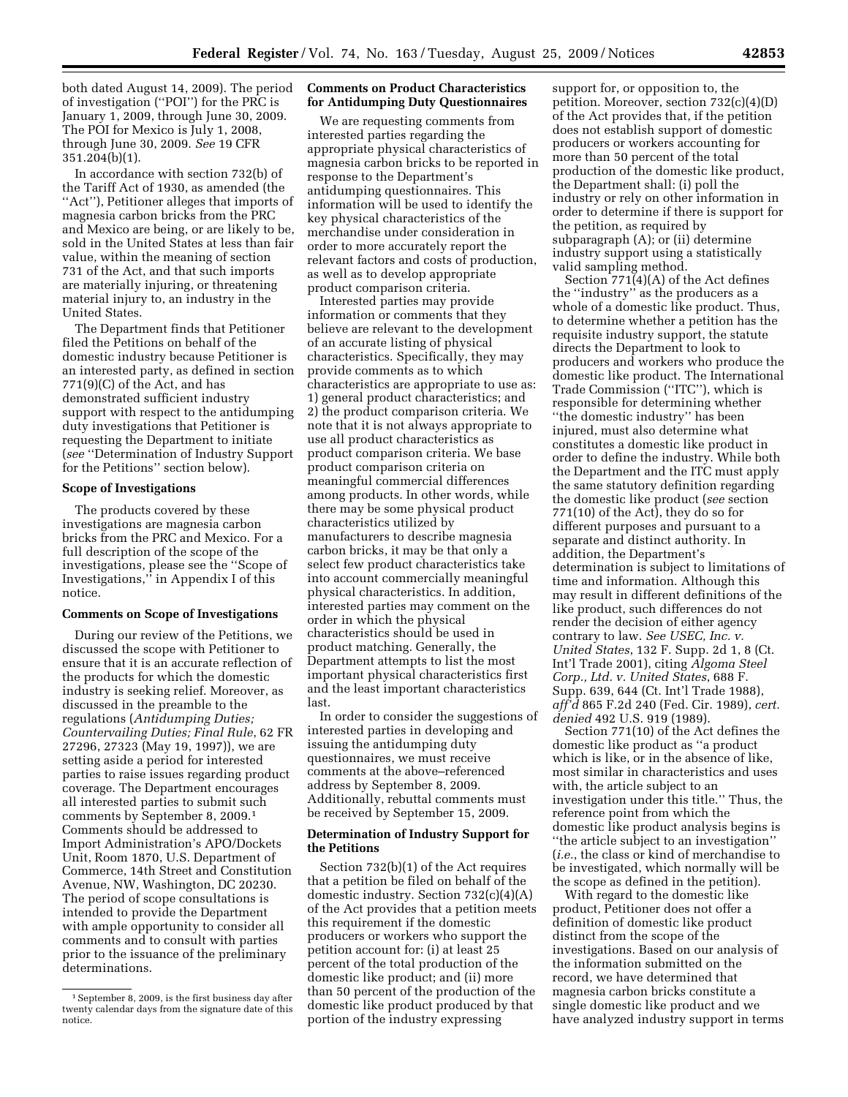both dated August 14, 2009). The period of investigation (''POI'') for the PRC is January 1, 2009, through June 30, 2009. The POI for Mexico is July 1, 2008, through June 30, 2009. *See* 19 CFR 351.204(b)(1).

In accordance with section 732(b) of the Tariff Act of 1930, as amended (the ''Act''), Petitioner alleges that imports of magnesia carbon bricks from the PRC and Mexico are being, or are likely to be, sold in the United States at less than fair value, within the meaning of section 731 of the Act, and that such imports are materially injuring, or threatening material injury to, an industry in the United States.

The Department finds that Petitioner filed the Petitions on behalf of the domestic industry because Petitioner is an interested party, as defined in section 771(9)(C) of the Act, and has demonstrated sufficient industry support with respect to the antidumping duty investigations that Petitioner is requesting the Department to initiate (*see* ''Determination of Industry Support for the Petitions'' section below).

#### **Scope of Investigations**

The products covered by these investigations are magnesia carbon bricks from the PRC and Mexico. For a full description of the scope of the investigations, please see the ''Scope of Investigations,'' in Appendix I of this notice.

#### **Comments on Scope of Investigations**

During our review of the Petitions, we discussed the scope with Petitioner to ensure that it is an accurate reflection of the products for which the domestic industry is seeking relief. Moreover, as discussed in the preamble to the regulations (*Antidumping Duties; Countervailing Duties; Final Rule*, 62 FR 27296, 27323 (May 19, 1997)), we are setting aside a period for interested parties to raise issues regarding product coverage. The Department encourages all interested parties to submit such comments by September 8, 2009.1 Comments should be addressed to Import Administration's APO/Dockets Unit, Room 1870, U.S. Department of Commerce, 14th Street and Constitution Avenue, NW, Washington, DC 20230. The period of scope consultations is intended to provide the Department with ample opportunity to consider all comments and to consult with parties prior to the issuance of the preliminary determinations.

#### **Comments on Product Characteristics for Antidumping Duty Questionnaires**

We are requesting comments from interested parties regarding the appropriate physical characteristics of magnesia carbon bricks to be reported in response to the Department's antidumping questionnaires. This information will be used to identify the key physical characteristics of the merchandise under consideration in order to more accurately report the relevant factors and costs of production, as well as to develop appropriate product comparison criteria.

Interested parties may provide information or comments that they believe are relevant to the development of an accurate listing of physical characteristics. Specifically, they may provide comments as to which characteristics are appropriate to use as: 1) general product characteristics; and 2) the product comparison criteria. We note that it is not always appropriate to use all product characteristics as product comparison criteria. We base product comparison criteria on meaningful commercial differences among products. In other words, while there may be some physical product characteristics utilized by manufacturers to describe magnesia carbon bricks, it may be that only a select few product characteristics take into account commercially meaningful physical characteristics. In addition, interested parties may comment on the order in which the physical characteristics should be used in product matching. Generally, the Department attempts to list the most important physical characteristics first and the least important characteristics last.

In order to consider the suggestions of interested parties in developing and issuing the antidumping duty questionnaires, we must receive comments at the above–referenced address by September 8, 2009. Additionally, rebuttal comments must be received by September 15, 2009.

## **Determination of Industry Support for the Petitions**

Section 732(b)(1) of the Act requires that a petition be filed on behalf of the domestic industry. Section 732(c)(4)(A) of the Act provides that a petition meets this requirement if the domestic producers or workers who support the petition account for: (i) at least 25 percent of the total production of the domestic like product; and (ii) more than 50 percent of the production of the domestic like product produced by that portion of the industry expressing

support for, or opposition to, the petition. Moreover, section 732(c)(4)(D) of the Act provides that, if the petition does not establish support of domestic producers or workers accounting for more than 50 percent of the total production of the domestic like product, the Department shall: (i) poll the industry or rely on other information in order to determine if there is support for the petition, as required by subparagraph (A); or (ii) determine industry support using a statistically valid sampling method.

Section 771(4)(A) of the Act defines the ''industry'' as the producers as a whole of a domestic like product. Thus, to determine whether a petition has the requisite industry support, the statute directs the Department to look to producers and workers who produce the domestic like product. The International Trade Commission (''ITC''), which is responsible for determining whether ''the domestic industry'' has been injured, must also determine what constitutes a domestic like product in order to define the industry. While both the Department and the ITC must apply the same statutory definition regarding the domestic like product (*see* section 771(10) of the Act), they do so for different purposes and pursuant to a separate and distinct authority. In addition, the Department's determination is subject to limitations of time and information. Although this may result in different definitions of the like product, such differences do not render the decision of either agency contrary to law. *See USEC, Inc. v. United States*, 132 F. Supp. 2d 1, 8 (Ct. Int'l Trade 2001), citing *Algoma Steel Corp., Ltd. v. United States*, 688 F. Supp. 639, 644 (Ct. Int'l Trade 1988), *aff'd* 865 F.2d 240 (Fed. Cir. 1989), *cert. denied* 492 U.S. 919 (1989).

Section 771(10) of the Act defines the domestic like product as ''a product which is like, or in the absence of like, most similar in characteristics and uses with, the article subject to an investigation under this title.'' Thus, the reference point from which the domestic like product analysis begins is ''the article subject to an investigation'' (*i.e.*, the class or kind of merchandise to be investigated, which normally will be the scope as defined in the petition).

With regard to the domestic like product, Petitioner does not offer a definition of domestic like product distinct from the scope of the investigations. Based on our analysis of the information submitted on the record, we have determined that magnesia carbon bricks constitute a single domestic like product and we have analyzed industry support in terms

<sup>1</sup>September 8, 2009, is the first business day after twenty calendar days from the signature date of this notice.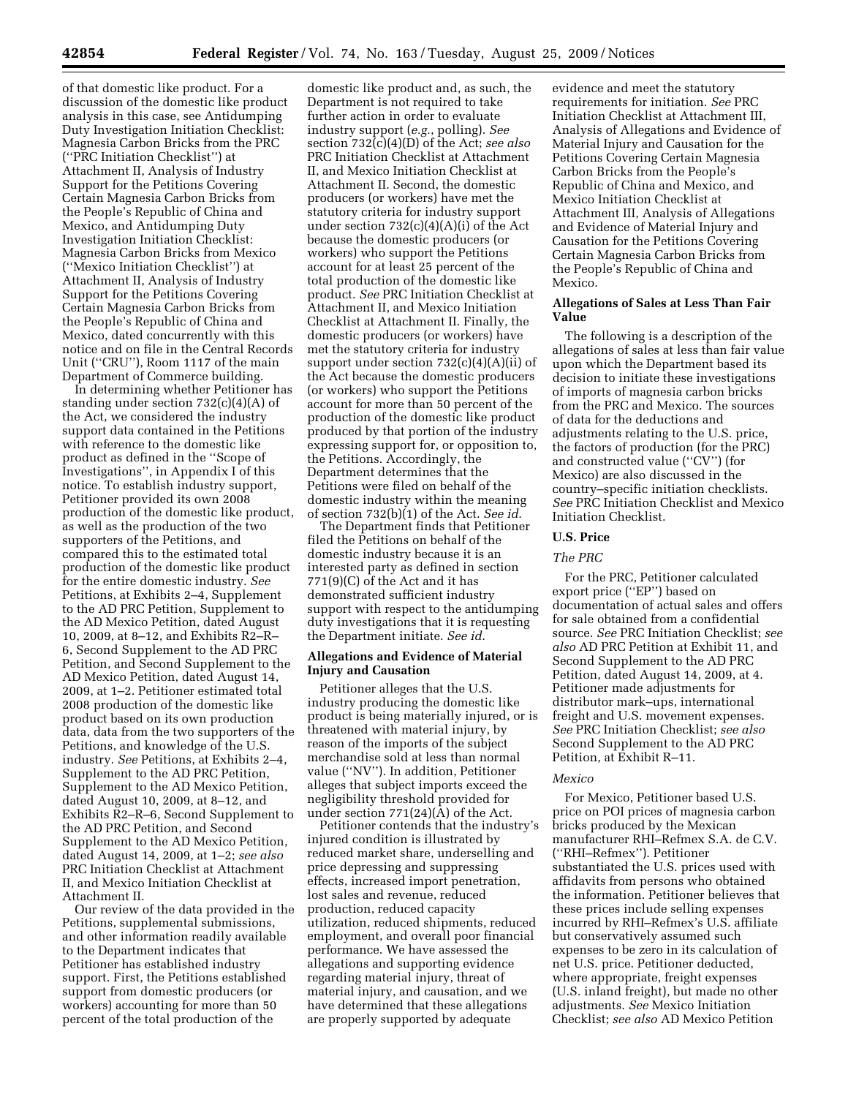of that domestic like product. For a discussion of the domestic like product analysis in this case, see Antidumping Duty Investigation Initiation Checklist: Magnesia Carbon Bricks from the PRC (''PRC Initiation Checklist'') at Attachment II, Analysis of Industry Support for the Petitions Covering Certain Magnesia Carbon Bricks from the People's Republic of China and Mexico, and Antidumping Duty Investigation Initiation Checklist: Magnesia Carbon Bricks from Mexico (''Mexico Initiation Checklist'') at Attachment II, Analysis of Industry Support for the Petitions Covering Certain Magnesia Carbon Bricks from the People's Republic of China and Mexico, dated concurrently with this notice and on file in the Central Records Unit (''CRU''), Room 1117 of the main Department of Commerce building.

In determining whether Petitioner has standing under section 732(c)(4)(A) of the Act, we considered the industry support data contained in the Petitions with reference to the domestic like product as defined in the ''Scope of Investigations'', in Appendix I of this notice. To establish industry support, Petitioner provided its own 2008 production of the domestic like product, as well as the production of the two supporters of the Petitions, and compared this to the estimated total production of the domestic like product for the entire domestic industry. *See*  Petitions, at Exhibits 2–4, Supplement to the AD PRC Petition, Supplement to the AD Mexico Petition, dated August 10, 2009, at 8–12, and Exhibits R2–R– 6, Second Supplement to the AD PRC Petition, and Second Supplement to the AD Mexico Petition, dated August 14, 2009, at 1–2. Petitioner estimated total 2008 production of the domestic like product based on its own production data, data from the two supporters of the Petitions, and knowledge of the U.S. industry. *See* Petitions, at Exhibits 2–4, Supplement to the AD PRC Petition, Supplement to the AD Mexico Petition, dated August 10, 2009, at 8–12, and Exhibits R2–R–6, Second Supplement to the AD PRC Petition, and Second Supplement to the AD Mexico Petition, dated August 14, 2009, at 1–2; *see also*  PRC Initiation Checklist at Attachment II, and Mexico Initiation Checklist at Attachment II.

Our review of the data provided in the Petitions, supplemental submissions, and other information readily available to the Department indicates that Petitioner has established industry support. First, the Petitions established support from domestic producers (or workers) accounting for more than 50 percent of the total production of the

domestic like product and, as such, the Department is not required to take further action in order to evaluate industry support (*e.g.*, polling). *See*  section 732(c)(4)(D) of the Act; *see also*  PRC Initiation Checklist at Attachment II, and Mexico Initiation Checklist at Attachment II. Second, the domestic producers (or workers) have met the statutory criteria for industry support under section 732(c)(4)(A)(i) of the Act because the domestic producers (or workers) who support the Petitions account for at least 25 percent of the total production of the domestic like product. *See* PRC Initiation Checklist at Attachment II, and Mexico Initiation Checklist at Attachment II. Finally, the domestic producers (or workers) have met the statutory criteria for industry support under section  $732(c)(4)(A)(ii)$  of the Act because the domestic producers (or workers) who support the Petitions account for more than 50 percent of the production of the domestic like product produced by that portion of the industry expressing support for, or opposition to, the Petitions. Accordingly, the Department determines that the Petitions were filed on behalf of the domestic industry within the meaning of section 732(b)(1) of the Act. *See id*.

The Department finds that Petitioner filed the Petitions on behalf of the domestic industry because it is an interested party as defined in section 771(9)(C) of the Act and it has demonstrated sufficient industry support with respect to the antidumping duty investigations that it is requesting the Department initiate. *See id*.

#### **Allegations and Evidence of Material Injury and Causation**

Petitioner alleges that the U.S. industry producing the domestic like product is being materially injured, or is threatened with material injury, by reason of the imports of the subject merchandise sold at less than normal value (''NV''). In addition, Petitioner alleges that subject imports exceed the negligibility threshold provided for under section 771(24)(A) of the Act.

Petitioner contends that the industry's injured condition is illustrated by reduced market share, underselling and price depressing and suppressing effects, increased import penetration, lost sales and revenue, reduced production, reduced capacity utilization, reduced shipments, reduced employment, and overall poor financial performance. We have assessed the allegations and supporting evidence regarding material injury, threat of material injury, and causation, and we have determined that these allegations are properly supported by adequate

evidence and meet the statutory requirements for initiation. *See* PRC Initiation Checklist at Attachment III, Analysis of Allegations and Evidence of Material Injury and Causation for the Petitions Covering Certain Magnesia Carbon Bricks from the People's Republic of China and Mexico, and Mexico Initiation Checklist at Attachment III, Analysis of Allegations and Evidence of Material Injury and Causation for the Petitions Covering Certain Magnesia Carbon Bricks from the People's Republic of China and Mexico.

#### **Allegations of Sales at Less Than Fair Value**

The following is a description of the allegations of sales at less than fair value upon which the Department based its decision to initiate these investigations of imports of magnesia carbon bricks from the PRC and Mexico. The sources of data for the deductions and adjustments relating to the U.S. price, the factors of production (for the PRC) and constructed value (''CV'') (for Mexico) are also discussed in the country–specific initiation checklists. *See* PRC Initiation Checklist and Mexico Initiation Checklist.

## **U.S. Price**

#### *The PRC*

For the PRC, Petitioner calculated export price (''EP'') based on documentation of actual sales and offers for sale obtained from a confidential source. *See* PRC Initiation Checklist; *see also* AD PRC Petition at Exhibit 11, and Second Supplement to the AD PRC Petition, dated August 14, 2009, at 4. Petitioner made adjustments for distributor mark–ups, international freight and U.S. movement expenses. *See* PRC Initiation Checklist; *see also*  Second Supplement to the AD PRC Petition, at Exhibit R–11.

#### *Mexico*

For Mexico, Petitioner based U.S. price on POI prices of magnesia carbon bricks produced by the Mexican manufacturer RHI–Refmex S.A. de C.V. (''RHI–Refmex''). Petitioner substantiated the U.S. prices used with affidavits from persons who obtained the information. Petitioner believes that these prices include selling expenses incurred by RHI–Refmex's U.S. affiliate but conservatively assumed such expenses to be zero in its calculation of net U.S. price. Petitioner deducted, where appropriate, freight expenses (U.S. inland freight), but made no other adjustments. *See* Mexico Initiation Checklist; *see also* AD Mexico Petition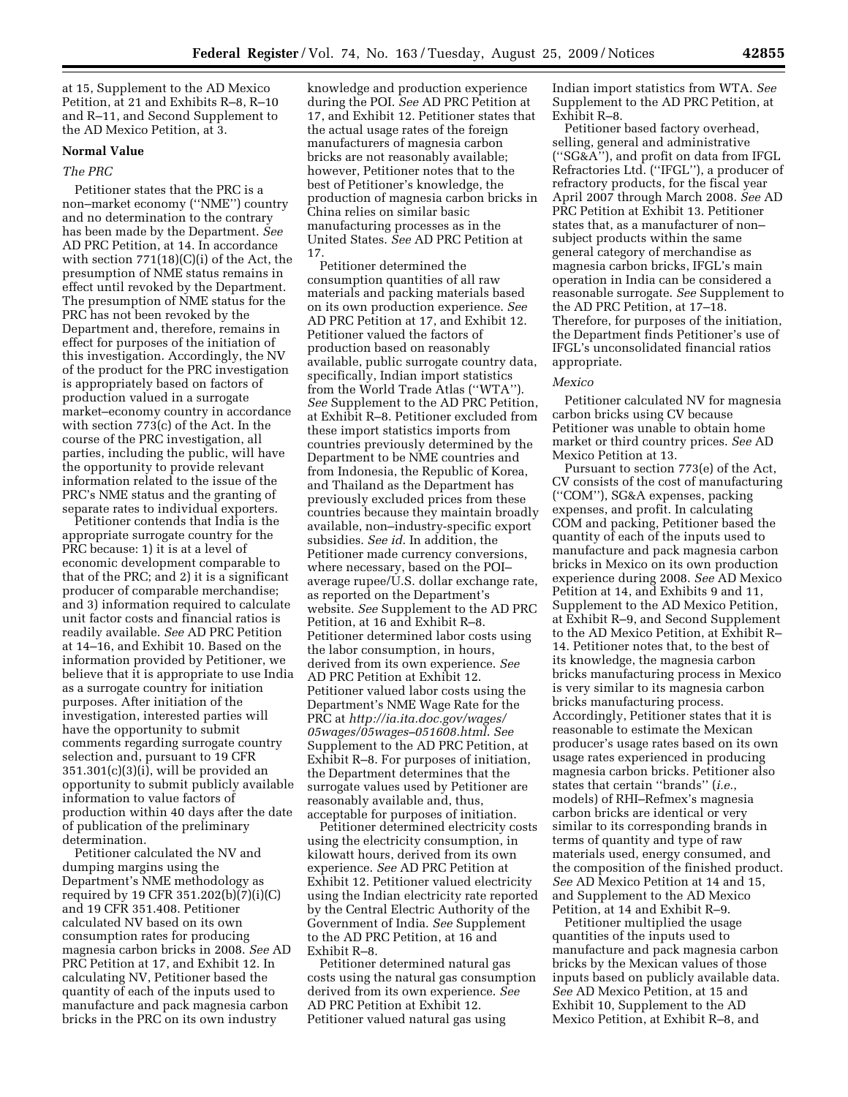at 15, Supplement to the AD Mexico Petition, at 21 and Exhibits R–8, R–10 and R–11, and Second Supplement to the AD Mexico Petition, at 3.

### **Normal Value**

## *The PRC*

Petitioner states that the PRC is a non–market economy (''NME'') country and no determination to the contrary has been made by the Department. *See*  AD PRC Petition, at 14. In accordance with section 771(18)(C)(i) of the Act, the presumption of NME status remains in effect until revoked by the Department. The presumption of NME status for the PRC has not been revoked by the Department and, therefore, remains in effect for purposes of the initiation of this investigation. Accordingly, the NV of the product for the PRC investigation is appropriately based on factors of production valued in a surrogate market–economy country in accordance with section 773(c) of the Act. In the course of the PRC investigation, all parties, including the public, will have the opportunity to provide relevant information related to the issue of the PRC's NME status and the granting of separate rates to individual exporters.

Petitioner contends that India is the appropriate surrogate country for the PRC because: 1) it is at a level of economic development comparable to that of the PRC; and 2) it is a significant producer of comparable merchandise; and 3) information required to calculate unit factor costs and financial ratios is readily available. *See* AD PRC Petition at 14–16, and Exhibit 10. Based on the information provided by Petitioner, we believe that it is appropriate to use India as a surrogate country for initiation purposes. After initiation of the investigation, interested parties will have the opportunity to submit comments regarding surrogate country selection and, pursuant to 19 CFR  $351.301(c)(3)(i)$ , will be provided an opportunity to submit publicly available information to value factors of production within 40 days after the date of publication of the preliminary determination.

Petitioner calculated the NV and dumping margins using the Department's NME methodology as required by 19 CFR 351.202(b)(7)(i)(C) and 19 CFR 351.408. Petitioner calculated NV based on its own consumption rates for producing magnesia carbon bricks in 2008. *See* AD PRC Petition at 17, and Exhibit 12. In calculating NV, Petitioner based the quantity of each of the inputs used to manufacture and pack magnesia carbon bricks in the PRC on its own industry

knowledge and production experience during the POI. *See* AD PRC Petition at 17, and Exhibit 12. Petitioner states that the actual usage rates of the foreign manufacturers of magnesia carbon bricks are not reasonably available; however, Petitioner notes that to the best of Petitioner's knowledge, the production of magnesia carbon bricks in China relies on similar basic manufacturing processes as in the United States. *See* AD PRC Petition at 17.

Petitioner determined the consumption quantities of all raw materials and packing materials based on its own production experience. *See*  AD PRC Petition at 17, and Exhibit 12. Petitioner valued the factors of production based on reasonably available, public surrogate country data, specifically, Indian import statistics from the World Trade Atlas (''WTA''). *See* Supplement to the AD PRC Petition, at Exhibit R–8. Petitioner excluded from these import statistics imports from countries previously determined by the Department to be NME countries and from Indonesia, the Republic of Korea, and Thailand as the Department has previously excluded prices from these countries because they maintain broadly available, non–industry-specific export subsidies. *See id*. In addition, the Petitioner made currency conversions, where necessary, based on the POI– average rupee/U.S. dollar exchange rate, as reported on the Department's website. *See* Supplement to the AD PRC Petition, at 16 and Exhibit R–8. Petitioner determined labor costs using the labor consumption, in hours, derived from its own experience. *See*  AD PRC Petition at Exhibit 12. Petitioner valued labor costs using the Department's NME Wage Rate for the PRC at *http://ia.ita.doc.gov/wages/ 05wages/05wages–051608.html*. *See*  Supplement to the AD PRC Petition, at Exhibit R–8. For purposes of initiation, the Department determines that the surrogate values used by Petitioner are reasonably available and, thus, acceptable for purposes of initiation.

Petitioner determined electricity costs using the electricity consumption, in kilowatt hours, derived from its own experience. *See* AD PRC Petition at Exhibit 12. Petitioner valued electricity using the Indian electricity rate reported by the Central Electric Authority of the Government of India. *See* Supplement to the AD PRC Petition, at 16 and Exhibit R–8.

Petitioner determined natural gas costs using the natural gas consumption derived from its own experience. *See*  AD PRC Petition at Exhibit 12. Petitioner valued natural gas using

Indian import statistics from WTA. *See*  Supplement to the AD PRC Petition, at Exhibit R–8.

Petitioner based factory overhead, selling, general and administrative (''SG&A''), and profit on data from IFGL Refractories Ltd. (''IFGL''), a producer of refractory products, for the fiscal year April 2007 through March 2008. *See* AD PRC Petition at Exhibit 13. Petitioner states that, as a manufacturer of non– subject products within the same general category of merchandise as magnesia carbon bricks, IFGL's main operation in India can be considered a reasonable surrogate. *See* Supplement to the AD PRC Petition, at 17–18. Therefore, for purposes of the initiation, the Department finds Petitioner's use of IFGL's unconsolidated financial ratios appropriate.

#### *Mexico*

Petitioner calculated NV for magnesia carbon bricks using CV because Petitioner was unable to obtain home market or third country prices. *See* AD Mexico Petition at 13.

Pursuant to section 773(e) of the Act, CV consists of the cost of manufacturing (''COM''), SG&A expenses, packing expenses, and profit. In calculating COM and packing, Petitioner based the quantity of each of the inputs used to manufacture and pack magnesia carbon bricks in Mexico on its own production experience during 2008. *See* AD Mexico Petition at 14, and Exhibits 9 and 11, Supplement to the AD Mexico Petition, at Exhibit R–9, and Second Supplement to the AD Mexico Petition, at Exhibit R– 14. Petitioner notes that, to the best of its knowledge, the magnesia carbon bricks manufacturing process in Mexico is very similar to its magnesia carbon bricks manufacturing process. Accordingly, Petitioner states that it is reasonable to estimate the Mexican producer's usage rates based on its own usage rates experienced in producing magnesia carbon bricks. Petitioner also states that certain ''brands'' (*i.e.*, models) of RHI–Refmex's magnesia carbon bricks are identical or very similar to its corresponding brands in terms of quantity and type of raw materials used, energy consumed, and the composition of the finished product. *See* AD Mexico Petition at 14 and 15, and Supplement to the AD Mexico Petition, at 14 and Exhibit R–9.

Petitioner multiplied the usage quantities of the inputs used to manufacture and pack magnesia carbon bricks by the Mexican values of those inputs based on publicly available data. *See* AD Mexico Petition, at 15 and Exhibit 10, Supplement to the AD Mexico Petition, at Exhibit R–8, and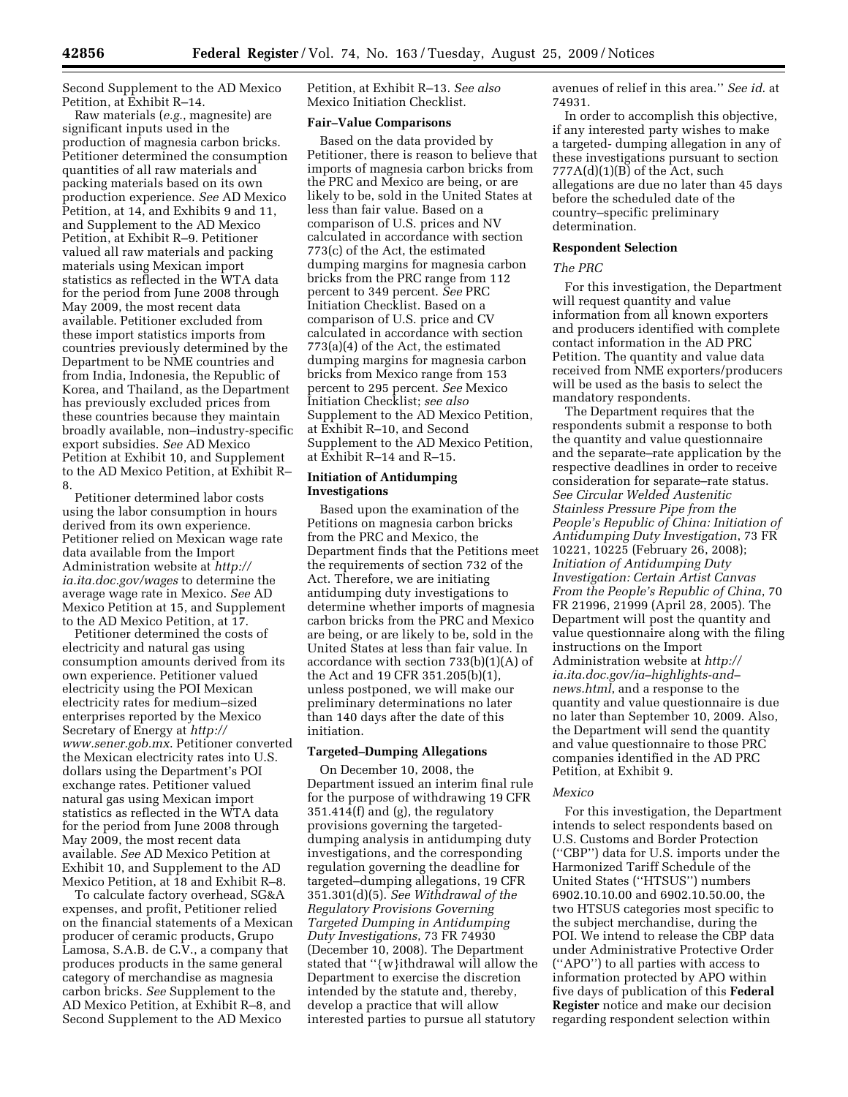Second Supplement to the AD Mexico Petition, at Exhibit R–14.

Raw materials (*e.g.*, magnesite) are significant inputs used in the production of magnesia carbon bricks. Petitioner determined the consumption quantities of all raw materials and packing materials based on its own production experience. *See* AD Mexico Petition, at 14, and Exhibits 9 and 11, and Supplement to the AD Mexico Petition, at Exhibit R–9. Petitioner valued all raw materials and packing materials using Mexican import statistics as reflected in the WTA data for the period from June 2008 through May 2009, the most recent data available. Petitioner excluded from these import statistics imports from countries previously determined by the Department to be NME countries and from India, Indonesia, the Republic of Korea, and Thailand, as the Department has previously excluded prices from these countries because they maintain broadly available, non–industry-specific export subsidies. *See* AD Mexico Petition at Exhibit 10, and Supplement to the AD Mexico Petition, at Exhibit R– 8.

Petitioner determined labor costs using the labor consumption in hours derived from its own experience. Petitioner relied on Mexican wage rate data available from the Import Administration website at *http:// ia.ita.doc.gov/wages* to determine the average wage rate in Mexico. *See* AD Mexico Petition at 15, and Supplement to the AD Mexico Petition, at 17.

Petitioner determined the costs of electricity and natural gas using consumption amounts derived from its own experience. Petitioner valued electricity using the POI Mexican electricity rates for medium–sized enterprises reported by the Mexico Secretary of Energy at *http:// www.sener.gob.mx*. Petitioner converted the Mexican electricity rates into U.S. dollars using the Department's POI exchange rates. Petitioner valued natural gas using Mexican import statistics as reflected in the WTA data for the period from June 2008 through May 2009, the most recent data available. *See* AD Mexico Petition at Exhibit 10, and Supplement to the AD Mexico Petition, at 18 and Exhibit R–8.

To calculate factory overhead, SG&A expenses, and profit, Petitioner relied on the financial statements of a Mexican producer of ceramic products, Grupo Lamosa, S.A.B. de C.V., a company that produces products in the same general category of merchandise as magnesia carbon bricks. *See* Supplement to the AD Mexico Petition, at Exhibit R–8, and Second Supplement to the AD Mexico

Petition, at Exhibit R–13. *See also*  Mexico Initiation Checklist.

#### **Fair–Value Comparisons**

Based on the data provided by Petitioner, there is reason to believe that imports of magnesia carbon bricks from the PRC and Mexico are being, or are likely to be, sold in the United States at less than fair value. Based on a comparison of U.S. prices and NV calculated in accordance with section 773(c) of the Act, the estimated dumping margins for magnesia carbon bricks from the PRC range from 112 percent to 349 percent. *See* PRC Initiation Checklist. Based on a comparison of U.S. price and CV calculated in accordance with section 773(a)(4) of the Act, the estimated dumping margins for magnesia carbon bricks from Mexico range from 153 percent to 295 percent. *See* Mexico Initiation Checklist; *see also*  Supplement to the AD Mexico Petition, at Exhibit R–10, and Second Supplement to the AD Mexico Petition, at Exhibit R–14 and R–15.

## **Initiation of Antidumping Investigations**

Based upon the examination of the Petitions on magnesia carbon bricks from the PRC and Mexico, the Department finds that the Petitions meet the requirements of section 732 of the Act. Therefore, we are initiating antidumping duty investigations to determine whether imports of magnesia carbon bricks from the PRC and Mexico are being, or are likely to be, sold in the United States at less than fair value. In accordance with section 733(b)(1)(A) of the Act and 19 CFR 351.205(b)(1), unless postponed, we will make our preliminary determinations no later than 140 days after the date of this initiation.

## **Targeted–Dumping Allegations**

On December 10, 2008, the Department issued an interim final rule for the purpose of withdrawing 19 CFR 351.414(f) and (g), the regulatory provisions governing the targeteddumping analysis in antidumping duty investigations, and the corresponding regulation governing the deadline for targeted–dumping allegations, 19 CFR 351.301(d)(5). *See Withdrawal of the Regulatory Provisions Governing Targeted Dumping in Antidumping Duty Investigations*, 73 FR 74930 (December 10, 2008). The Department stated that ''{w}ithdrawal will allow the Department to exercise the discretion intended by the statute and, thereby, develop a practice that will allow interested parties to pursue all statutory

avenues of relief in this area.'' *See id*. at 74931.

In order to accomplish this objective, if any interested party wishes to make a targeted- dumping allegation in any of these investigations pursuant to section  $777A(d)(1)(B)$  of the Act, such allegations are due no later than 45 days before the scheduled date of the country–specific preliminary determination.

#### **Respondent Selection**

#### *The PRC*

For this investigation, the Department will request quantity and value information from all known exporters and producers identified with complete contact information in the AD PRC Petition. The quantity and value data received from NME exporters/producers will be used as the basis to select the mandatory respondents.

The Department requires that the respondents submit a response to both the quantity and value questionnaire and the separate–rate application by the respective deadlines in order to receive consideration for separate–rate status. *See Circular Welded Austenitic Stainless Pressure Pipe from the People's Republic of China: Initiation of Antidumping Duty Investigation*, 73 FR 10221, 10225 (February 26, 2008); *Initiation of Antidumping Duty Investigation: Certain Artist Canvas From the People's Republic of China*, 70 FR 21996, 21999 (April 28, 2005). The Department will post the quantity and value questionnaire along with the filing instructions on the Import Administration website at *http:// ia.ita.doc.gov/ia–highlights-and– news.html*, and a response to the quantity and value questionnaire is due no later than September 10, 2009. Also, the Department will send the quantity and value questionnaire to those PRC companies identified in the AD PRC Petition, at Exhibit 9.

#### *Mexico*

For this investigation, the Department intends to select respondents based on U.S. Customs and Border Protection (''CBP'') data for U.S. imports under the Harmonized Tariff Schedule of the United States (''HTSUS'') numbers 6902.10.10.00 and 6902.10.50.00, the two HTSUS categories most specific to the subject merchandise, during the POI. We intend to release the CBP data under Administrative Protective Order (''APO'') to all parties with access to information protected by APO within five days of publication of this **Federal Register** notice and make our decision regarding respondent selection within